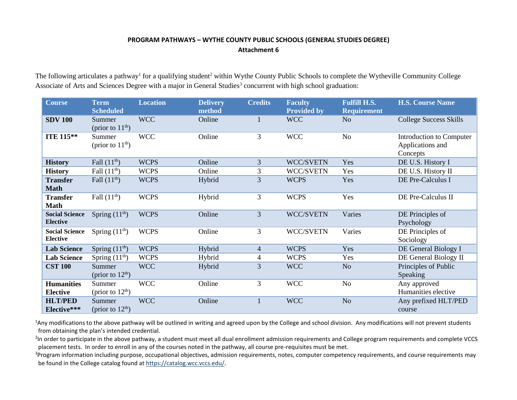## **PROGRAM PATHWAYS – WYTHE COUNTY PUBLIC SCHOOLS (GENERAL STUDIES DEGREE) Attachment 6**

The following articulates a pathway<sup>1</sup> for a qualifying student<sup>2</sup> within Wythe County Public Schools to complete the Wytheville Community College Associate of Arts and Sciences Degree with a major in General Studies<sup>3</sup> concurrent with high school graduation:

| <b>Course</b>                            | <b>Term</b><br><b>Scheduled</b> | <b>Location</b> | <b>Delivery</b><br>method | <b>Credits</b> | <b>Faculty</b><br><b>Provided by</b> | <b>Fulfill H.S.</b><br><b>Requirement</b> | <b>H.S. Course Name</b>                                  |
|------------------------------------------|---------------------------------|-----------------|---------------------------|----------------|--------------------------------------|-------------------------------------------|----------------------------------------------------------|
| <b>SDV 100</b>                           | Summer<br>(prior to $11th$ )    | <b>WCC</b>      | Online                    | 1              | <b>WCC</b>                           | N <sub>o</sub>                            | <b>College Success Skills</b>                            |
| <b>ITE 115**</b>                         | Summer<br>(prior to $11th$ )    | <b>WCC</b>      | Online                    | 3              | <b>WCC</b>                           | No                                        | Introduction to Computer<br>Applications and<br>Concepts |
| <b>History</b>                           | Fall $(11th)$                   | <b>WCPS</b>     | Online                    | 3              | WCC/SVETN                            | Yes                                       | DE U.S. History I                                        |
| <b>History</b>                           | Fall $(11th)$                   | <b>WCPS</b>     | Online                    | 3              | WCC/SVETN                            | Yes                                       | DE U.S. History II                                       |
| <b>Transfer</b><br><b>Math</b>           | Fall $(11th)$                   | <b>WCPS</b>     | Hybrid                    | 3              | <b>WCPS</b>                          | Yes                                       | DE Pre-Calculus I                                        |
| <b>Transfer</b><br><b>Math</b>           | Fall $(11th)$                   | <b>WCPS</b>     | Hybrid                    | 3              | <b>WCPS</b>                          | Yes                                       | DE Pre-Calculus II                                       |
| <b>Social Science</b><br><b>Elective</b> | Spring $(11th)$                 | <b>WCPS</b>     | Online                    | 3              | WCC/SVETN                            | Varies                                    | DE Principles of<br>Psychology                           |
| <b>Social Science</b><br><b>Elective</b> | Spring $(11th)$                 | <b>WCPS</b>     | Online                    | 3              | WCC/SVETN                            | Varies                                    | DE Principles of<br>Sociology                            |
| <b>Lab Science</b>                       | Spring $(11th)$                 | <b>WCPS</b>     | Hybrid                    | $\overline{4}$ | <b>WCPS</b>                          | Yes                                       | DE General Biology I                                     |
| <b>Lab Science</b>                       | Spring $(11th)$                 | <b>WCPS</b>     | Hybrid                    | $\overline{4}$ | <b>WCPS</b>                          | Yes                                       | DE General Biology II                                    |
| <b>CST 100</b>                           | Summer<br>(prior to $12th$ )    | <b>WCC</b>      | Hybrid                    | 3              | <b>WCC</b>                           | N <sub>o</sub>                            | Principles of Public<br><b>Speaking</b>                  |
| <b>Humanities</b><br><b>Elective</b>     | Summer<br>(prior to $12th$ )    | <b>WCC</b>      | Online                    | 3              | <b>WCC</b>                           | No                                        | Any approved<br>Humanities elective                      |
| <b>HLT/PED</b><br>Elective***            | Summer<br>(prior to $12th$ )    | <b>WCC</b>      | Online                    | $\mathbf{1}$   | <b>WCC</b>                           | N <sub>o</sub>                            | Any prefixed HLT/PED<br>course                           |

<sup>1</sup>Any modifications to the above pathway will be outlined in writing and agreed upon by the College and school division. Any modifications will not prevent students from obtaining the plan's intended credential.

<sup>2</sup>In order to participate in the above pathway, a student must meet all dual enrollment admission requirements and College program requirements and complete VCCS placement tests. In order to enroll in any of the courses noted in the pathway, all course pre-requisites must be met.

<sup>3</sup>Program information including purpose, occupational objectives, admission requirements, notes, computer competency requirements, and course requirements may be found in the College catalog found a[t https://catalog.wcc.vccs.edu/](https://catalog.wcc.vccs.edu/).